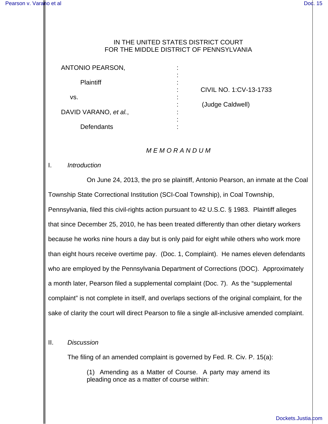## IN THE UNITED STATES DISTRICT COURT FOR THE MIDDLE DISTRICT OF PENNSYLVANIA

| <b>ANTONIO PEARSON,</b> |   |         |
|-------------------------|---|---------|
| <b>Plaintiff</b>        | ۰ |         |
|                         |   | CIVIL I |
| VS.                     |   |         |
|                         |   | (Judge  |
| DAVID VARANO, et al.,   |   |         |
|                         |   |         |
| Defendants              |   |         |

NO. 1:CV-13-1733

e Caldwell)

## M E M O R A N D U M

## I. Introduction

On June 24, 2013, the pro se plaintiff, Antonio Pearson, an inmate at the Coal Township State Correctional Institution (SCI-Coal Township), in Coal Township, Pennsylvania, filed this civil-rights action pursuant to 42 U.S.C. § 1983. Plaintiff alleges that since December 25, 2010, he has been treated differently than other dietary workers because he works nine hours a day but is only paid for eight while others who work more than eight hours receive overtime pay. (Doc. 1, Complaint). He names eleven defendants who are employed by the Pennsylvania Department of Corrections (DOC). Approximately a month later, Pearson filed a supplemental complaint (Doc. 7). As the "supplemental complaint" is not complete in itself, and overlaps sections of the original complaint, for the sake of clarity the court will direct Pearson to file a single all-inclusive amended complaint.

## II. Discussion

The filing of an amended complaint is governed by Fed. R. Civ. P. 15(a):

(1) Amending as a Matter of Course. A party may amend its pleading once as a matter of course within: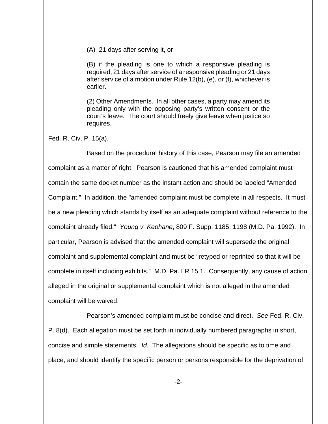(A) 21 days after serving it, or

(B) if the pleading is one to which a responsive pleading is required, 21 days after service of a responsive pleading or 21 days after service of a motion under Rule 12(b), (e), or (f), whichever is earlier.

(2) Other Amendments. In all other cases, a party may amend its pleading only with the opposing party's written consent or the court's leave. The court should freely give leave when justice so requires.

Fed. R. Civ. P. 15(a).

Based on the procedural history of this case, Pearson may file an amended complaint as a matter of right. Pearson is cautioned that his amended complaint must contain the same docket number as the instant action and should be labeled "Amended Complaint." In addition, the "amended complaint must be complete in all respects. It must be a new pleading which stands by itself as an adequate complaint without reference to the complaint already filed." Young v. Keohane, 809 F. Supp. 1185, 1198 (M.D. Pa. 1992). In particular, Pearson is advised that the amended complaint will supersede the original complaint and supplemental complaint and must be "retyped or reprinted so that it will be complete in itself including exhibits." M.D. Pa. LR 15.1. Consequently, any cause of action alleged in the original or supplemental complaint which is not alleged in the amended complaint will be waived.

Pearson's amended complaint must be concise and direct. See Fed. R. Civ. P. 8(d). Each allegation must be set forth in individually numbered paragraphs in short, concise and simple statements. Id. The allegations should be specific as to time and place, and should identify the specific person or persons responsible for the deprivation of